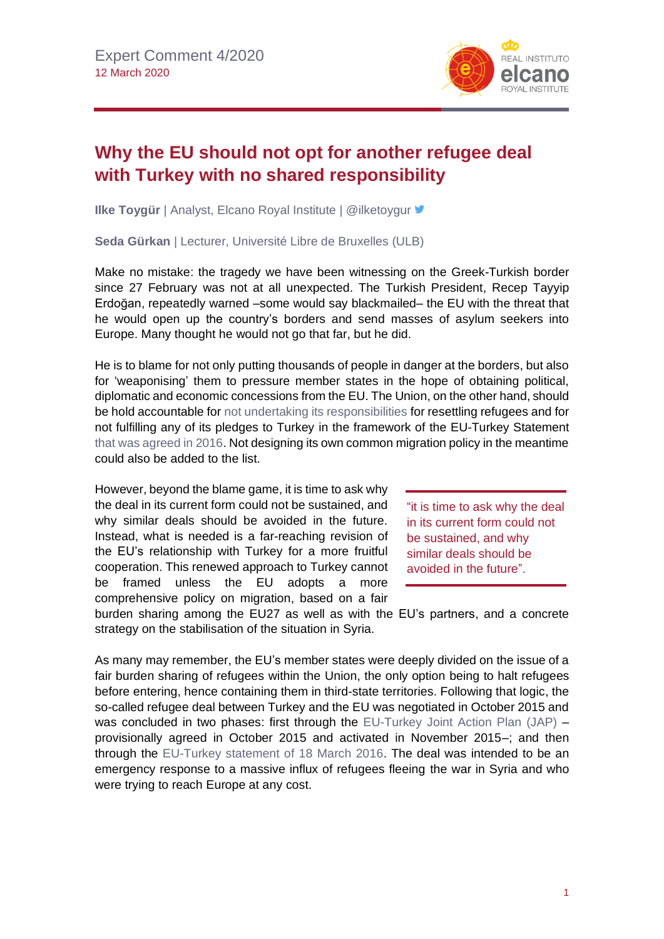

## **Why the EU should not opt for another refugee deal with Turkey with no shared responsibility**

**Ilke Toygür** | Analyst, Elcano Royal Institute | @ilketoygur <sup>■</sup>

**Seda Gürkan** | Lecturer, Université Libre de Bruxelles (ULB)

Make no mistake: the tragedy we have been witnessing on the Greek-Turkish border since 27 February was not at all unexpected. The Turkish President, Recep Tayyip Erdoğan, repeatedly warned –some would say blackmailed– the EU with the threat that he would open up the country's borders and send masses of asylum seekers into Europe. Many thought he would not go that far, but he did.

He is to blame for not only putting thousands of people in danger at the borders, but also for 'weaponising' them to pressure member states in the hope of obtaining political, diplomatic and economic concessions from the EU. The Union, on the other hand, should be hold accountable for [not undertaking its responsibilities](https://ipc.sabanciuniv.edu/wp-content/uploads/2016/06/IlkeToygur_BiancaBenvenuti_FINAL.pdf) for resettling refugees and for not fulfilling any of its pledges to Turkey in the framework of the EU-Turkey Statement [that was agreed in 2016.](http://www.realinstitutoelcano.org/wps/portal/web/rielcano_en/contenido?WCM_GLOBAL_CONTEXT=/elcano/elcano_in/zonas_in/ari27-2016-toygur-ozsoz-stormy-months-aegean-refugee-deal-impact-turkey-eu-relations) Not designing its own common migration policy in the meantime could also be added to the list.

However, beyond the blame game, it is time to ask why the deal in its current form could not be sustained, and why similar deals should be avoided in the future. Instead, what is needed is a far-reaching revision of the EU's relationship with Turkey for a more fruitful cooperation. This renewed approach to Turkey cannot be framed unless the EU adopts a more comprehensive policy on migration, based on a fair

"it is time to ask why the deal in its current form could not be sustained, and why similar deals should be avoided in the future".

burden sharing among the EU27 as well as with the EU's partners, and a concrete strategy on the stabilisation of the situation in Syria.

As many may remember, the EU's member states were deeply divided on the issue of a fair burden sharing of refugees within the Union, the only option being to halt refugees before entering, hence containing them in third-state territories. Following that logic, the so-called refugee deal between Turkey and the EU was negotiated in October 2015 and was concluded in two phases: first through the [EU-Turkey Joint Action Plan \(JAP\)](https://ec.europa.eu/commission/presscorner/detail/en/MEMO_15_5860) – provisionally agreed in October 2015 and activated in November 2015–; and then through the [EU-Turkey statement of](https://www.consilium.europa.eu/en/press/press-releases/2016/03/18/eu-turkey-statement/) 18 March 2016. The deal was intended to be an emergency response to a massive influx of refugees fleeing the war in Syria and who were trying to reach Europe at any cost.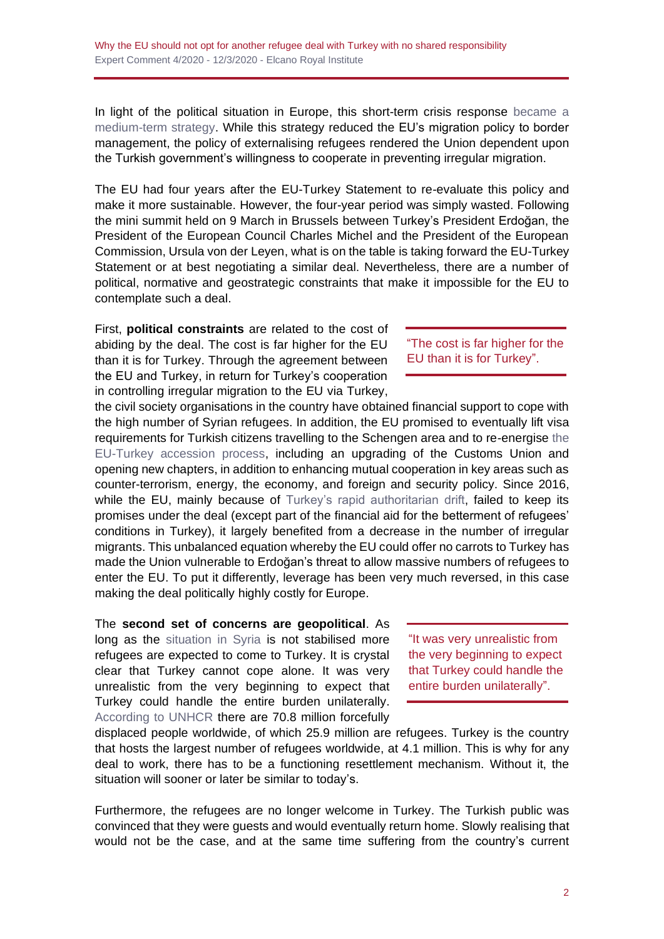In light of the political situation in Europe, this short-term crisis response [became](http://www.realinstitutoelcano.org/wps/portal/rielcano_en/contenido?WCM_GLOBAL_CONTEXT=/elcano/elcano_in/zonas_in/ari21-2017-toygur-benvenuti-one-year-on-assessment-eu-turkey-statement-refugees) a [medium-term](http://www.realinstitutoelcano.org/wps/portal/rielcano_en/contenido?WCM_GLOBAL_CONTEXT=/elcano/elcano_in/zonas_in/ari21-2017-toygur-benvenuti-one-year-on-assessment-eu-turkey-statement-refugees) strategy. While this strategy reduced the EU's migration policy to border management, the policy of externalising refugees rendered the Union dependent upon the Turkish government's willingness to cooperate in preventing irregular migration.

The EU had four years after the EU-Turkey Statement to re-evaluate this policy and make it more sustainable. However, the four-year period was simply wasted. Following the mini summit held on 9 March in Brussels between Turkey's President Erdoğan, the President of the European Council Charles Michel and the President of the European Commission, Ursula von der Leyen, what is on the table is taking forward the EU-Turkey Statement or at best negotiating a similar deal. Nevertheless, there are a number of political, normative and geostrategic constraints that make it impossible for the EU to contemplate such a deal.

First, **political constraints** are related to the cost of abiding by the deal. The cost is far higher for the EU than it is for Turkey. Through the agreement between the EU and Turkey, in return for Turkey's cooperation in controlling irregular migration to the EU via Turkey,

the civil society organisations in the country have obtained financial support to cope with the high number of Syrian refugees. In addition, the EU promised to eventually lift visa requirements for Turkish citizens travelling to the Schengen area and to re-energise [the](http://www.realinstitutoelcano.org/wps/portal/rielcano_en/contenido?WCM_GLOBAL_CONTEXT=/elcano/elcano_in/zonas_in/ari79-2016-chislett-has-time-come-to-reconsider-turkey-eu-membership)  [EU-Turkey accession process,](http://www.realinstitutoelcano.org/wps/portal/rielcano_en/contenido?WCM_GLOBAL_CONTEXT=/elcano/elcano_in/zonas_in/ari79-2016-chislett-has-time-come-to-reconsider-turkey-eu-membership) including an upgrading of the Customs Union and opening new chapters, in addition to enhancing mutual cooperation in key areas such as counter-terrorism, energy, the economy, and foreign and security policy. Since 2016, while the EU, mainly because of [Turkey's rapid authoritarian drift,](http://www.realinstitutoelcano.org/wps/portal/rielcano_es/contenido?WCM_GLOBAL_CONTEXT=/elcano/elcano_in/zonas_in/commentary-toygur-turkey-critical-constitutional-referendum-introduction) failed to keep its promises under the deal (except part of the financial aid for the betterment of refugees' conditions in Turkey), it largely benefited from a decrease in the number of irregular migrants. This unbalanced equation whereby the EU could offer no carrots to Turkey has made the Union vulnerable to Erdoğan's threat to allow massive numbers of refugees to enter the EU. To put it differently, leverage has been very much reversed, in this case making the deal politically highly costly for Europe.

The **second set of concerns are geopolitical**. As long as the [situation in Syria](http://www.realinstitutoelcano.org/wps/portal/rielcano_en/contenido?WCM_GLOBAL_CONTEXT=/elcano/elcano_in/zonas_in/commentary-syria-strains-turkeys-ties-to-the-west-even-after-us-withdrawal) is not stabilised more refugees are expected to come to Turkey. It is crystal clear that Turkey cannot cope alone. It was very unrealistic from the very beginning to expect that Turkey could handle the entire burden unilaterally. [According to UNHCR](https://www.unrefugees.org/refugee-facts/statistics/) there are 70.8 million forcefully

"It was very unrealistic from the very beginning to expect that Turkey could handle the entire burden unilaterally".

displaced people worldwide, of which 25.9 million are refugees. Turkey is the country that hosts the largest number of refugees worldwide, at 4.1 million. This is why for any deal to work, there has to be a functioning resettlement mechanism. Without it, the situation will sooner or later be similar to today's.

Furthermore, the refugees are no longer welcome in Turkey. The Turkish public was convinced that they were guests and would eventually return home. Slowly realising that would not be the case, and at the same time suffering from the country's current

"The cost is far higher for the EU than it is for Turkey".